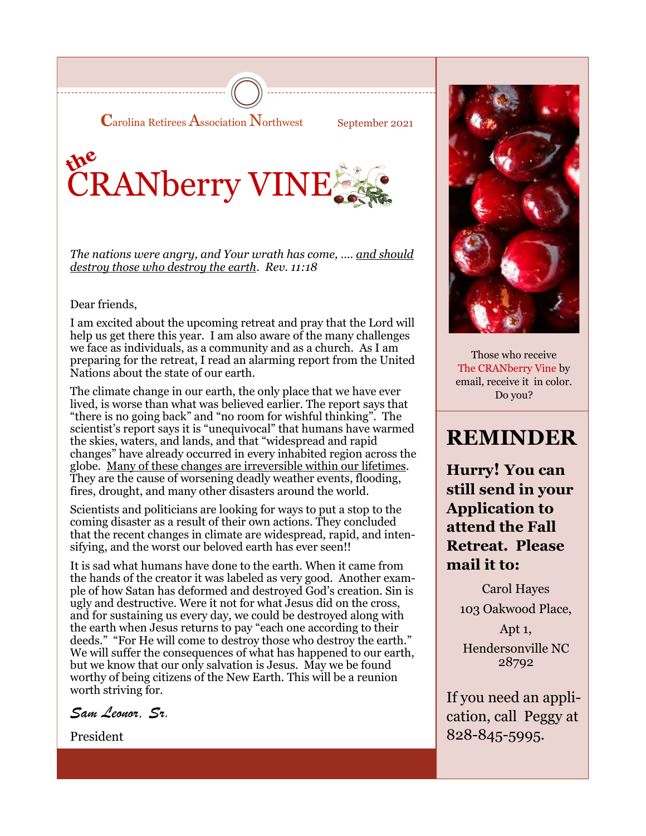

September 2021

# the<br>CRANberry VINE

*The nations were angry, and Your wrath has come, .... <u>and should</u> destroy those who destroy the earth. Rev. 11:18*

#### Dear friends,

I am excited about the upcoming retreat and pray that the Lord will help us get there this year. I am also aware of the many challenges we face as individuals, as a community and as a church. As I am preparing for the retreat, I read an alarming report from the United Nations about the state of our earth.

The climate change in our earth, the only place that we have ever lived, is worse than what was believed earlier. The report says that "there is no going back" and "no room for wishful thinking". The scientist's report says it is "unequivocal" that humans have warmed the skies, waters, and lands, and that "widespread and rapid changes" have already occurred in every inhabited region across the globe. Many of these changes are irreversible within our lifetimes. They are the cause of worsening deadly weather events, flooding, fires, drought, and many other disasters around the world.

Scientists and politicians are looking for ways to put a stop to the coming disaster as a result of their own actions. They concluded that the recent changes in climate are widespread, rapid, and intensifying, and the worst our beloved earth has ever seen!!

It is sad what humans have done to the earth. When it came from the hands of the creator it was labeled as very good. Another example of how Satan has deformed and destroyed God's creation. Sin is ugly and destructive. Were it not for what Jesus did on the cross, and for sustaining us every day, we could be destroyed along with the earth when Jesus returns to pay "each one according to their deeds." "For He will come to destroy those who destroy the earth." We will suffer the consequences of what has happened to our earth, but we know that our only salvation is Jesus. May we be found worthy of being citizens of the New Earth. This will be a reunion worth striving for.

*Sam Leonor, Sr.* 

President



Those who receive The CRANberry Vine by email, receive it in color. Do you?

### **REMINDER**

**Hurry! You can still send in your Application to attend the Fall Retreat. Please mail it to:**

> Carol Hayes 103 Oakwood Place,

Apt 1, Hendersonville NC 28792

If you need an application, call Peggy at 828-845-5995.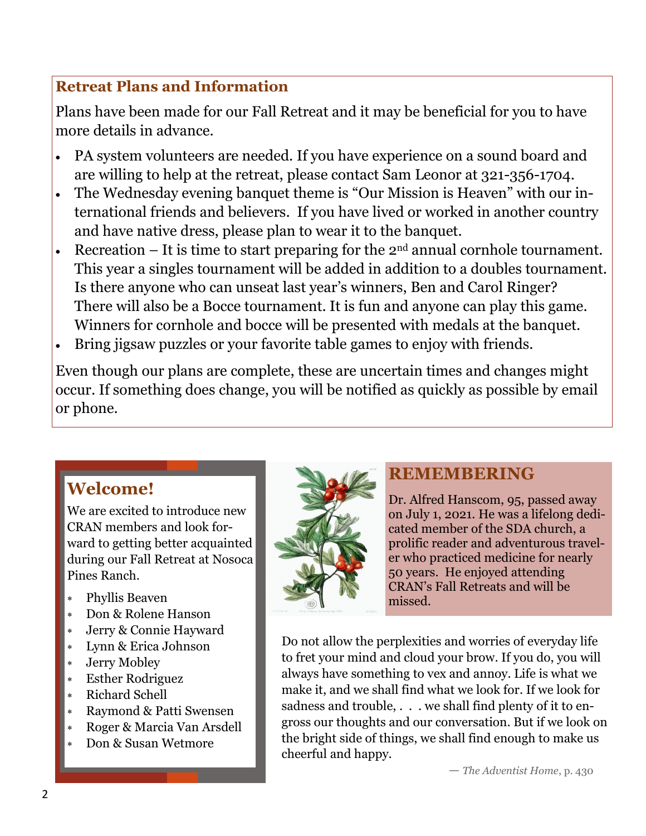### **Retreat Plans and Information**

Plans have been made for our Fall Retreat and it may be beneficial for you to have more details in advance.

- PA system volunteers are needed. If you have experience on a sound board and are willing to help at the retreat, please contact Sam Leonor at 321-356-1704.
- The Wednesday evening banquet theme is "Our Mission is Heaven" with our international friends and believers. If you have lived or worked in another country and have native dress, please plan to wear it to the banquet.
- Recreation It is time to start preparing for the  $2<sup>nd</sup>$  annual cornhole tournament. This year a singles tournament will be added in addition to a doubles tournament. Is there anyone who can unseat last year's winners, Ben and Carol Ringer? There will also be a Bocce tournament. It is fun and anyone can play this game. Winners for cornhole and bocce will be presented with medals at the banquet.
- Bring jigsaw puzzles or your favorite table games to enjoy with friends.

Even though our plans are complete, these are uncertain times and changes might occur. If something does change, you will be notified as quickly as possible by email or phone.

### **Welcome!**

We are excited to introduce new CRAN members and look forward to getting better acquainted during our Fall Retreat at Nosoca Pines Ranch.

- Phyllis Beaven
- Don & Rolene Hanson
- Jerry & Connie Hayward
- Lynn & Erica Johnson
- Jerry Mobley
- Esther Rodriguez
- Richard Schell
- Raymond & Patti Swensen
- Roger & Marcia Van Arsdell
- Don & Susan Wetmore



### **REMEMBERING**

Dr. Alfred Hanscom, 95, passed away on July 1, 2021. He was a lifelong dedicated member of the SDA church, a prolific reader and adventurous traveler who practiced medicine for nearly 50 years. He enjoyed attending CRAN's Fall Retreats and will be missed.

Do not allow the perplexities and worries of everyday life to fret your mind and cloud your brow. If you do, you will always have something to vex and annoy. Life is what we make it, and we shall find what we look for. If we look for sadness and trouble, . . . we shall find plenty of it to engross our thoughts and our conversation. But if we look on the bright side of things, we shall find enough to make us cheerful and happy.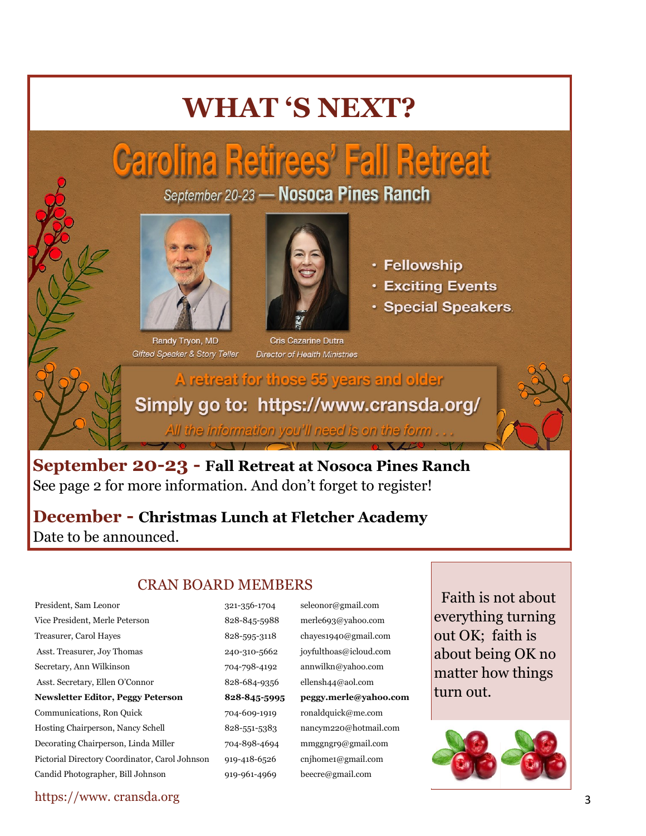## **WHAT 'S NEXT?**

# **Carolina Retirees' Fall Retreat**

September 20-23 - Nosoca Pines Ranch



Randy Tryon, MD **Gifted Speaker & Story Teller** 



Cris Cazarine Dutra **Director of Health Ministries** 



- **Exciting Events**
- · Special Speakers.

A retreat for those 55 years and older Simply go to: https://www.cransda.org/ All the information you'll need is on the form ...

**September 20-23 - Fall Retreat at Nosoca Pines Ranch**  See page 2 for more information. And don't forget to register!

**December - Christmas Lunch at Fletcher Academy**  Date to be announced.

### CRAN BOARD MEMBERS

Vice President, Merle Peterson 828-845-5988 merle693@yahoo.com Treasurer, Carol Hayes 628-595-3118 chayes1940@gmail.com Asst. Treasurer, Joy Thomas 240-310-5662 joyfulthoas@icloud.com Secretary, Ann Wilkinson 704-798-4192 annwilkn@yahoo.com Asst. Secretary, Ellen O'Connor 828-684-9356 ellensh44@aol.com **Newsletter Editor, Peggy Peterson 828-845-5995 peggy.merle@yahoo.com** Communications, Ron Quick 704-609-1919 ronaldquick@me.com Hosting Chairperson, Nancy Schell 828-551-5383 nancym220@hotmail.com Decorating Chairperson, Linda Miller 704-898-4694 mmggngr9@gmail.com Pictorial Directory Coordinator, Carol Johnson 919-418-6526 cnjhome1@gmail.com Candid Photographer, Bill Johnson 919-961-4969 beecre@gmail.com

President, Sam Leonor 321-356-1704 seleonor@gmail.com

 Faith is not about everything turning out OK; faith is about being OK no matter how things turn out.



https://www. cransda.org 3